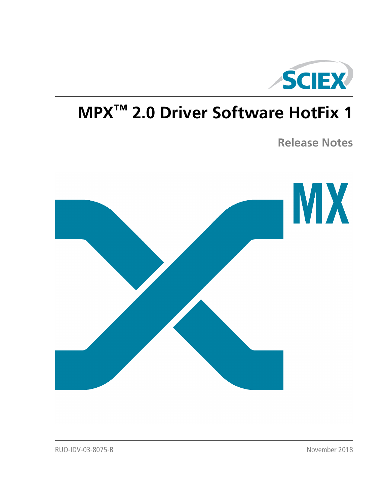

# **MPX™ 2.0 Driver Software HotFix 1**

**Release Notes**

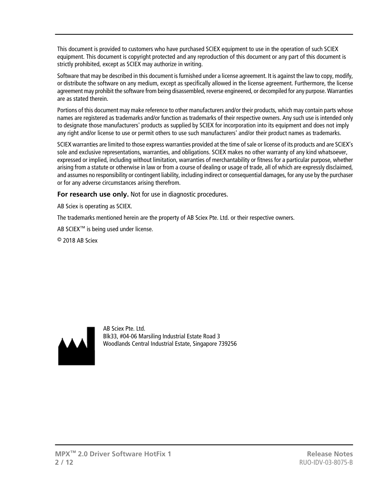This document is provided to customers who have purchased SCIEX equipment to use in the operation of such SCIEX equipment. This document is copyright protected and any reproduction of this document or any part of this document is strictly prohibited, except as SCIEX may authorize in writing.

Software that may be described in this document is furnished under a license agreement. It is against the law to copy, modify, or distribute the software on any medium, except as specifically allowed in the license agreement. Furthermore, the license agreement may prohibit the software from being disassembled, reverse engineered, or decompiled for any purpose. Warranties are as stated therein.

Portions of this document may make reference to other manufacturers and/or their products, which may contain parts whose names are registered as trademarks and/or function as trademarks of their respective owners. Any such use is intended only to designate those manufacturers' products as supplied by SCIEX for incorporation into its equipment and does not imply any right and/or license to use or permit others to use such manufacturers' and/or their product names as trademarks.

SCIEX warranties are limited to those express warranties provided at the time of sale or license of its products and are SCIEX's sole and exclusive representations, warranties, and obligations. SCIEX makes no other warranty of any kind whatsoever, expressed or implied, including without limitation, warranties of merchantability or fitness for a particular purpose, whether arising from a statute or otherwise in law or from a course of dealing or usage of trade, all of which are expressly disclaimed, and assumes no responsibility or contingent liability, including indirect or consequential damages, for any use by the purchaser or for any adverse circumstances arising therefrom.

**For research use only.** Not for use in diagnostic procedures.

AB Sciex is operating as SCIEX.

The trademarks mentioned herein are the property of AB Sciex Pte. Ltd. or their respective owners.

AB SCIEX<sup>™</sup> is being used under license.

 $\circ$  2018 AB Sciex



AB Sciex Pte. Ltd. Blk33, #04-06 Marsiling Industrial Estate Road 3 Woodlands Central Industrial Estate, Singapore 739256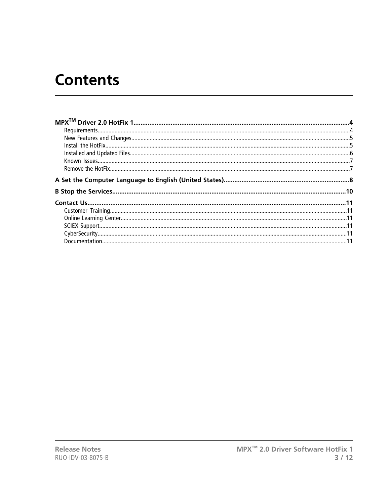## **Contents**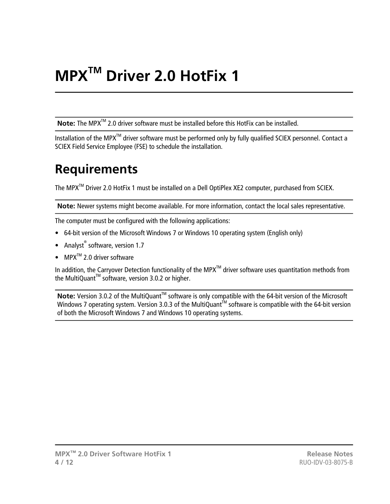# **MPXTM Driver 2.0 HotFix 1**

<span id="page-3-0"></span>Note: The MPX<sup>™</sup> 2.0 driver software must be installed before this HotFix can be installed.

<span id="page-3-1"></span>Installation of the MPX<sup>™</sup> driver software must be performed only by fully qualified SCIEX personnel. Contact a SCIEX Field Service Employee (FSE) to schedule the installation.

### **Requirements**

The MPX<sup>™</sup> Driver 2.0 HotFix 1 must be installed on a Dell OptiPlex XE2 computer, purchased from SCIEX.

**Note:** Newer systems might become available. For more information, contact the local sales representative.

The computer must be configured with the following applications:

- 64-bit version of the Microsoft Windows 7 or Windows 10 operating system (English only)
- Analyst<sup>®</sup> software, version 1.7
- $MPX^{TM}$  2.0 driver software

In addition, the Carryover Detection functionality of the MPX<sup>™</sup> driver software uses quantitation methods from the MultiQuant<sup>™</sup> software, version 3.0.2 or higher.

Note: Version 3.0.2 of the MultiQuant<sup>™</sup> software is only compatible with the 64-bit version of the Microsoft Windows 7 operating system. Version 3.0.3 of the MultiQuant<sup>IM</sup> software is compatible with the 64-bit version of both the Microsoft Windows 7 and Windows 10 operating systems.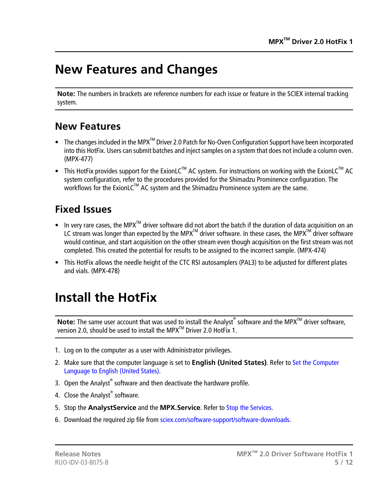#### <span id="page-4-0"></span>**New Features and Changes**

**Note:** The numbers in brackets are reference numbers for each issue or feature in the SCIEX internal tracking system.

#### **New Features**

- The changes included in the MPX<sup>TM</sup> Driver 2.0 Patch for No-Oven Configuration Support have been incorporated into this HotFix. Users can submit batches and inject samples on a system that does not include a column oven. (MPX-477)
- This HotFix provides support for the ExionLC<sup>TM</sup> AC system. For instructions on working with the ExionLC<sup>TM</sup> AC system configuration, refer to the procedures provided for the Shimadzu Prominence configuration. The workflows for the ExionLC™ AC system and the Shimadzu Prominence system are the same.

#### **Fixed Issues**

- In very rare cases, the MPX<sup>TM</sup> driver software did not abort the batch if the duration of data acquisition on an LC stream was longer than expected by the MPX<sup>TM</sup> driver software. In these cases, the MPX<sup>TM</sup> driver software would continue, and start acquisition on the other stream even though acquisition on the first stream was not completed. This created the potential for results to be assigned to the incorrect sample. (MPX-474)
- <span id="page-4-1"></span>• This HotFix allows the needle height of the CTC RSI autosamplers (PAL3) to be adjusted for different plates and vials. (MPX-478)

#### **Install the HotFix**

Note: The same user account that was used to install the Analyst<sup>®</sup> software and the MPX<sup>™</sup> driver software, version 2.0, should be used to install the MPX<sup>TM</sup> Driver 2.0 HotFix 1.

- 1. Log on to the computer as a user with Administrator privileges.
- 2. Make sure that the computer language is set to **English (United States)**. Refer to [Set the Computer](#page-7-0) [Language to English \(United States\).](#page-7-0)
- 3. Open the Analyst $^{\circ}$  software and then deactivate the hardware profile.
- 4. Close the Analyst® software.
- 5. Stop the **AnalystService** and the **MPX.Service**. Refer to [Stop the Services](#page-9-0).
- 6. Download the required zip file from [sciex.com/software-support/software-downloads.](https://sciex.com/software-support/software-downloads)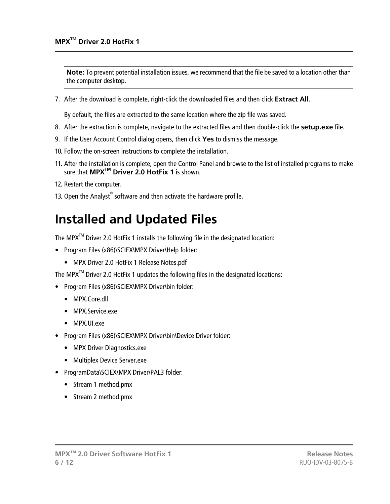**Note:** To prevent potential installation issues, we recommend that the file be saved to a location other than the computer desktop.

7. After the download is complete, right-click the downloaded files and then click **Extract All**.

By default, the files are extracted to the same location where the zip file was saved.

- 8. After the extraction is complete, navigate to the extracted files and then double-click the **setup.exe** file.
- 9. If the User Account Control dialog opens, then click **Yes** to dismiss the message.
- 10. Follow the on-screen instructions to complete the installation.
- 11. After the installation is complete, open the Control Panel and browse to the list of installed programs to make sure that **MPXTM Driver 2.0 HotFix 1** is shown.
- 12. Restart the computer.
- <span id="page-5-0"></span>13. Open the Analyst® software and then activate the hardware profile.

#### **Installed and Updated Files**

The MPX<sup>™</sup> Driver 2.0 HotFix 1 installs the following file in the designated location:

- Program Files (x86)\SCIEX\MPX Driver\Help folder:
	- MPX Driver 2.0 HotFix 1 Release Notes.pdf

The MPX<sup>TM</sup> Driver 2.0 HotFix 1 updates the following files in the designated locations:

- Program Files (x86)\SCIEX\MPX Driver\bin folder:
	- MPX.Core.dll
	- MPX.Service.exe
	- MPX.UI.exe
- Program Files (x86)\SCIEX\MPX Driver\bin\Device Driver folder:
	- MPX Driver Diagnostics.exe
	- Multiplex Device Server.exe
- ProgramData\SCIEX\MPX Driver\PAL3 folder:
	- Stream 1 method.pmx
	- Stream 2 method.pmx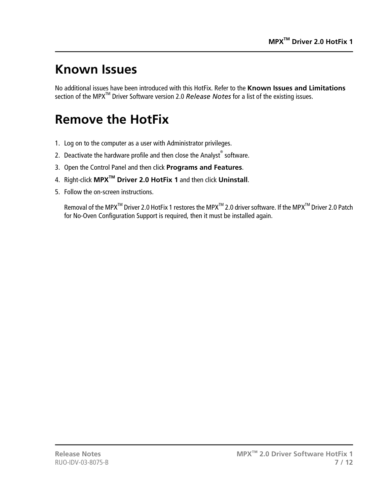### <span id="page-6-0"></span>**Known Issues**

No additional issues have been introduced with this HotFix. Refer to the **Known Issues and Limitations** section of the MPX<sup>™</sup> Driver Software version 2.0 *Release Notes* for a list of the existing issues.

#### <span id="page-6-1"></span>**Remove the HotFix**

- 1. Log on to the computer as a user with Administrator privileges.
- 2. Deactivate the hardware profile and then close the Analyst® software.
- 3. Open the Control Panel and then click **Programs and Features**.
- 4. Right-click **MPXTM Driver 2.0 HotFix 1** and then click **Uninstall**.
- 5. Follow the on-screen instructions.

Removal of the MPX<sup>™</sup> Driver 2.0 HotFix 1 restores the MPX<sup>™</sup> 2.0 driver software. If the MPX<sup>™</sup> Driver 2.0 Patch for No-Oven Configuration Support is required, then it must be installed again.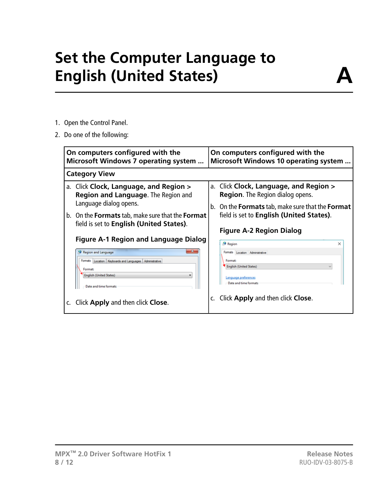# **Set the Computer Language to English (United States)**

- <span id="page-7-0"></span>1. Open the Control Panel.
- 2. Do one of the following:

| On computers configured with the<br><b>Microsoft Windows 7 operating system </b>                                                                                                                                                                                                                                                                                                                                                                                   | On computers configured with the<br><b>Microsoft Windows 10 operating system</b>                                                                                                                                                                                                                                                                                                                                               |  |
|--------------------------------------------------------------------------------------------------------------------------------------------------------------------------------------------------------------------------------------------------------------------------------------------------------------------------------------------------------------------------------------------------------------------------------------------------------------------|--------------------------------------------------------------------------------------------------------------------------------------------------------------------------------------------------------------------------------------------------------------------------------------------------------------------------------------------------------------------------------------------------------------------------------|--|
| <b>Category View</b>                                                                                                                                                                                                                                                                                                                                                                                                                                               |                                                                                                                                                                                                                                                                                                                                                                                                                                |  |
| a. Click Clock, Language, and Region ><br>Region and Language. The Region and<br>Language dialog opens.<br>b. On the <b>Formats</b> tab, make sure that the <b>Format</b><br>field is set to English (United States).<br><b>Figure A-1 Region and Language Dialog</b><br>Region and Language<br>Formats Location Keyboards and Languages Administrative<br>Format:<br><b>English (United States)</b><br>Date and time formats<br>Click Apply and then click Close. | a. Click Clock, Language, and Region ><br><b>Region.</b> The Region dialog opens.<br>b. On the <b>Formats</b> tab, make sure that the <b>Format</b><br>field is set to English (United States).<br><b>Figure A-2 Region Dialog</b><br>Region<br>×<br>Formats Location Administrative<br>Format:<br><b>English (United States)</b><br><u>Language preferences</u><br>Date and time formats<br>Click Apply and then click Close. |  |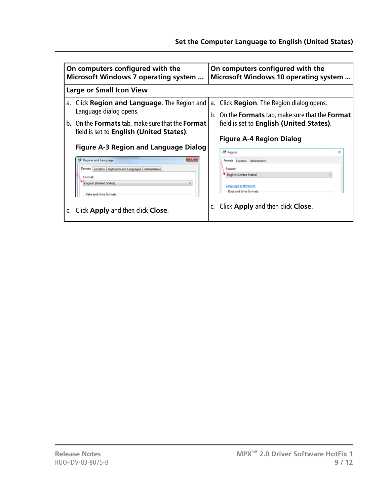| On computers configured with the                                                         | On computers configured with the                               |  |
|------------------------------------------------------------------------------------------|----------------------------------------------------------------|--|
| <b>Microsoft Windows 7 operating system </b>                                             | <b>Microsoft Windows 10 operating system</b>                   |  |
| <b>Large or Small Icon View</b>                                                          |                                                                |  |
| a. Click Region and Language. The Region and                                             | a. Click <b>Region</b> . The Region dialog opens.              |  |
| Language dialog opens.                                                                   | b. On the <b>Formats</b> tab, make sure that the <b>Format</b> |  |
| b. On the <b>Formats</b> tab, make sure that the <b>Format</b>                           | field is set to English (United States).                       |  |
| field is set to English (United States).<br><b>Figure A-3 Region and Language Dialog</b> | <b>Figure A-4 Region Dialog</b><br>Region<br>×                 |  |
| Region and Language                                                                      | Formats Location Administrative                                |  |
| Formats Location Keyboards and Languages Administrative                                  | Format:                                                        |  |
| Format:                                                                                  | <b>English (United States)</b>                                 |  |
| <b>English (United States)</b>                                                           | anquage preferences                                            |  |
| Date and time formats                                                                    | Date and time formats                                          |  |
| Click Apply and then click Close.                                                        | Click Apply and then click Close.                              |  |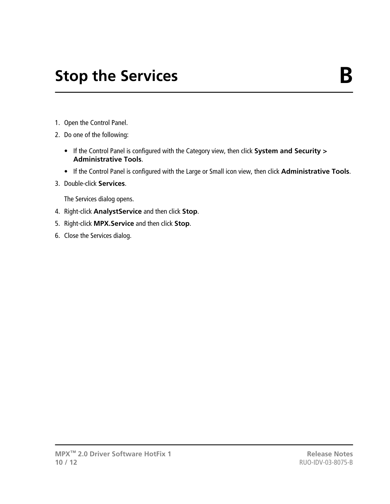# **Stop the Services B**

- <span id="page-9-0"></span>1. Open the Control Panel.
- 2. Do one of the following:
	- If the Control Panel is configured with the Category view, then click **System and Security > Administrative Tools**.
	- If the Control Panel is configured with the Large or Small icon view, then click **Administrative Tools**.
- 3. Double-click **Services**.

The Services dialog opens.

- 4. Right-click **AnalystService** and then click **Stop**.
- 5. Right-click **MPX.Service** and then click **Stop**.
- 6. Close the Services dialog.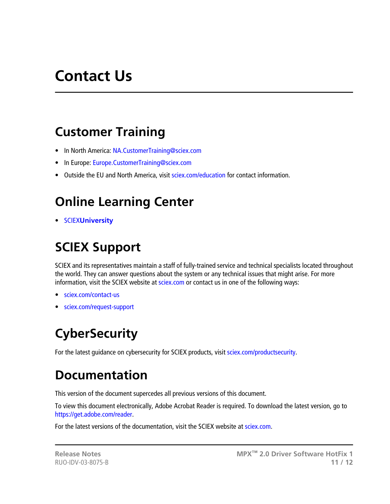## **Contact Us**

#### <span id="page-10-1"></span><span id="page-10-0"></span>**Customer Training**

- In North America: [NA.CustomerTraining@sciex.com](mailto:NA.CustomerTraining@sciex.com)
- In Europe: [Europe.CustomerTraining@sciex.com](mailto:Europe.CustomerTraining@sciex.com)
- <span id="page-10-2"></span>• Outside the EU and North America, visit [sciex.com/education](https://sciex.com/education) for contact information.

### **Online Learning Center**

<span id="page-10-3"></span>• SCIEX**[University](https://training.sciex.com)**

### **SCIEX Support**

SCIEX and its representatives maintain a staff of fully-trained service and technical specialists located throughout the world. They can answer questions about the system or any technical issues that might arise. For more information, visit the SCIEX website at [sciex.com](https://sciex.com) or contact us in one of the following ways:

- <span id="page-10-4"></span>• [sciex.com/contact-us](https://sciex.com/contact-us)
- [sciex.com/request-support](https://sciex.com/request-support)

### <span id="page-10-5"></span>**CyberSecurity**

For the latest guidance on cybersecurity for SCIEX products, visit [sciex.com/productsecurity](https://sciex.com/productsecurity).

### **Documentation**

This version of the document supercedes all previous versions of this document.

To view this document electronically, Adobe Acrobat Reader is required. To download the latest version, go to [https://get.adobe.com/reader.](https://get.adobe.com/reader)

For the latest versions of the documentation, visit the SCIEX website at [sciex.com](https://sciex.com).